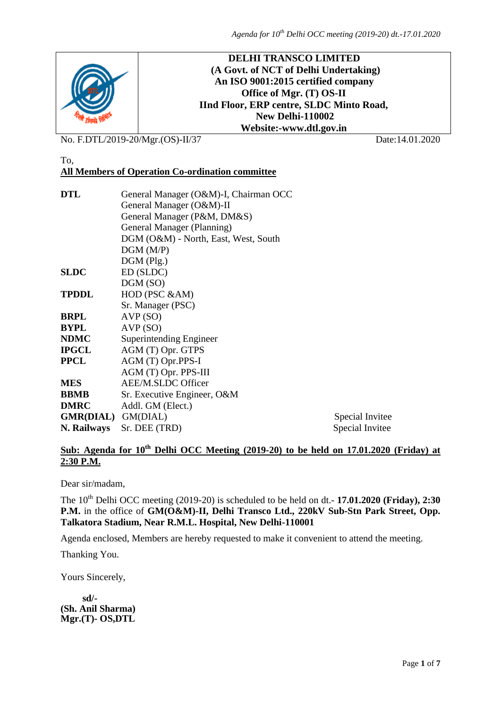

No. F.DTL/2019-20/Mgr.(OS)-II/37 Date:14.01.2020

### To, **All Members of Operation Co-ordination committee**

| <b>DTL</b>                | General Manager (O&M)-I, Chairman OCC |                 |  |  |  |  |
|---------------------------|---------------------------------------|-----------------|--|--|--|--|
|                           | General Manager (O&M)-II              |                 |  |  |  |  |
|                           | General Manager (P&M, DM&S)           |                 |  |  |  |  |
|                           | General Manager (Planning)            |                 |  |  |  |  |
|                           | DGM (O&M) - North, East, West, South  |                 |  |  |  |  |
|                           | DGM(M/P)                              |                 |  |  |  |  |
|                           | $DGM$ (Plg.)                          |                 |  |  |  |  |
| <b>SLDC</b>               | ED (SLDC)                             |                 |  |  |  |  |
|                           | DGM (SO)                              |                 |  |  |  |  |
| <b>TPDDL</b>              | HOD (PSC &AM)                         |                 |  |  |  |  |
|                           | Sr. Manager (PSC)                     |                 |  |  |  |  |
| <b>BRPL</b>               | AVP(SO)                               |                 |  |  |  |  |
| <b>BYPL</b>               | AVP(SO)                               |                 |  |  |  |  |
| <b>NDMC</b>               | Superintending Engineer               |                 |  |  |  |  |
| <b>IPGCL</b>              | AGM (T) Opr. GTPS                     |                 |  |  |  |  |
| <b>PPCL</b>               | AGM (T) Opr.PPS-I                     |                 |  |  |  |  |
|                           | AGM (T) Opr. PPS-III                  |                 |  |  |  |  |
| <b>MES</b>                | AEE/M.SLDC Officer                    |                 |  |  |  |  |
| <b>BBMB</b>               | Sr. Executive Engineer, O&M           |                 |  |  |  |  |
| <b>DMRC</b>               | Addl. GM (Elect.)                     |                 |  |  |  |  |
| <b>GMR(DIAL)</b> GM(DIAL) | Special Invitee                       |                 |  |  |  |  |
| N. Railways               | Sr. DEE (TRD)                         | Special Invitee |  |  |  |  |

## **Sub: Agenda for 10th Delhi OCC Meeting (2019-20) to be held on 17.01.2020 (Friday) at 2:30 P.M.**

Dear sir/madam,

The 10th Delhi OCC meeting (2019-20) is scheduled to be held on dt.- **17.01.2020 (Friday), 2:30 P.M.** in the office of **GM(O&M)-II, Delhi Transco Ltd., 220kV Sub-Stn Park Street, Opp. Talkatora Stadium, Near R.M.L. Hospital, New Delhi-110001**

Agenda enclosed, Members are hereby requested to make it convenient to attend the meeting.

Thanking You.

Yours Sincerely,

 **sd/- (Sh. Anil Sharma) Mgr.(T)- OS,DTL**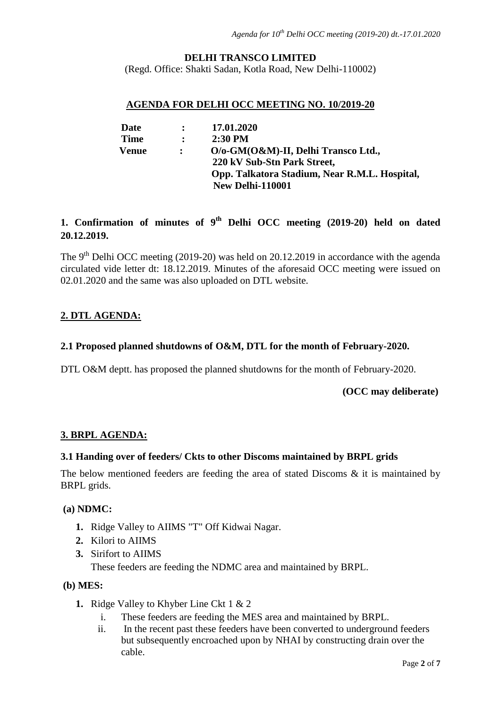## **DELHI TRANSCO LIMITED**

(Regd. Office: Shakti Sadan, Kotla Road, New Delhi-110002)

### **AGENDA FOR DELHI OCC MEETING NO. 10/2019-20**

| Date         | $\ddot{\cdot}$ | 17.01.2020                                    |
|--------------|----------------|-----------------------------------------------|
| <b>Time</b>  | $\ddot{\cdot}$ | $2:30$ PM                                     |
| <b>Venue</b> |                | O/o-GM(O&M)-II, Delhi Transco Ltd.,           |
|              |                | 220 kV Sub-Stn Park Street,                   |
|              |                | Opp. Talkatora Stadium, Near R.M.L. Hospital, |
|              |                | New Delhi-110001                              |

# **1. Confirmation of minutes of 9 th Delhi OCC meeting (2019-20) held on dated 20.12.2019.**

The 9<sup>th</sup> Delhi OCC meeting (2019-20) was held on 20.12.2019 in accordance with the agenda circulated vide letter dt: 18.12.2019. Minutes of the aforesaid OCC meeting were issued on 02.01.2020 and the same was also uploaded on DTL website.

### **2. DTL AGENDA:**

### **2.1 Proposed planned shutdowns of O&M, DTL for the month of February-2020.**

DTL O&M deptt. has proposed the planned shutdowns for the month of February-2020.

 **(OCC may deliberate)**

### **3. BRPL AGENDA:**

### **3.1 Handing over of feeders/ Ckts to other Discoms maintained by BRPL grids**

The below mentioned feeders are feeding the area of stated Discoms & it is maintained by BRPL grids.

### **(a) NDMC:**

- **1.** Ridge Valley to AIIMS "T" Off Kidwai Nagar.
- **2.** Kilori to AIIMS
- **3.** Sirifort to AIIMS

These feeders are feeding the NDMC area and maintained by BRPL.

### **(b) MES:**

- **1.** Ridge Valley to Khyber Line Ckt 1 & 2
	- i. These feeders are feeding the MES area and maintained by BRPL.
	- ii. In the recent past these feeders have been converted to underground feeders but subsequently encroached upon by NHAI by constructing drain over the cable.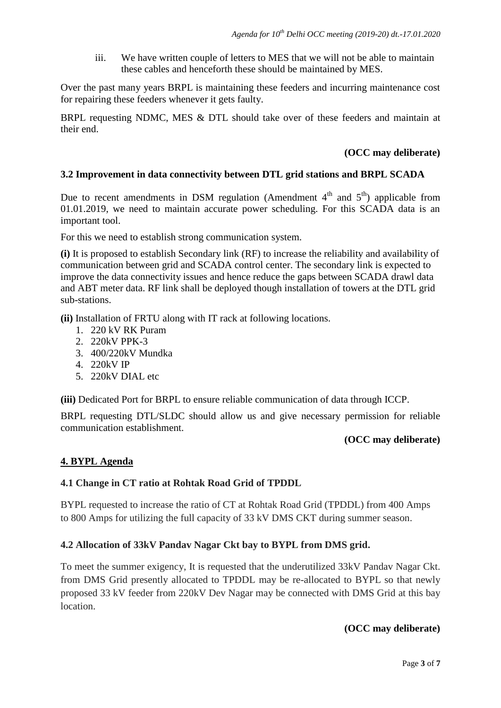iii. We have written couple of letters to MES that we will not be able to maintain these cables and henceforth these should be maintained by MES.

Over the past many years BRPL is maintaining these feeders and incurring maintenance cost for repairing these feeders whenever it gets faulty.

BRPL requesting NDMC, MES & DTL should take over of these feeders and maintain at their end.

### **(OCC may deliberate)**

## **3.2 Improvement in data connectivity between DTL grid stations and BRPL SCADA**

Due to recent amendments in DSM regulation (Amendment  $4<sup>th</sup>$  and  $5<sup>th</sup>$ ) applicable from 01.01.2019, we need to maintain accurate power scheduling. For this SCADA data is an important tool.

For this we need to establish strong communication system.

**(i)** It is proposed to establish Secondary link (RF) to increase the reliability and availability of communication between grid and SCADA control center. The secondary link is expected to improve the data connectivity issues and hence reduce the gaps between SCADA drawl data and ABT meter data. RF link shall be deployed though installation of towers at the DTL grid sub-stations.

**(ii)** Installation of FRTU along with IT rack at following locations.

- 1. 220 kV RK Puram
- 2. 220kV PPK-3
- 3. 400/220kV Mundka
- 4. 220kV IP
- 5. 220kV DIAL etc

**(iii)** Dedicated Port for BRPL to ensure reliable communication of data through ICCP.

BRPL requesting DTL/SLDC should allow us and give necessary permission for reliable communication establishment.

### **(OCC may deliberate)**

### **4. BYPL Agenda**

### **4.1 Change in CT ratio at Rohtak Road Grid of TPDDL**

BYPL requested to increase the ratio of CT at Rohtak Road Grid (TPDDL) from 400 Amps to 800 Amps for utilizing the full capacity of 33 kV DMS CKT during summer season.

### **4.2 Allocation of 33kV Pandav Nagar Ckt bay to BYPL from DMS grid.**

To meet the summer exigency, It is requested that the underutilized 33kV Pandav Nagar Ckt. from DMS Grid presently allocated to TPDDL may be re-allocated to BYPL so that newly proposed 33 kV feeder from 220kV Dev Nagar may be connected with DMS Grid at this bay location.

### **(OCC may deliberate)**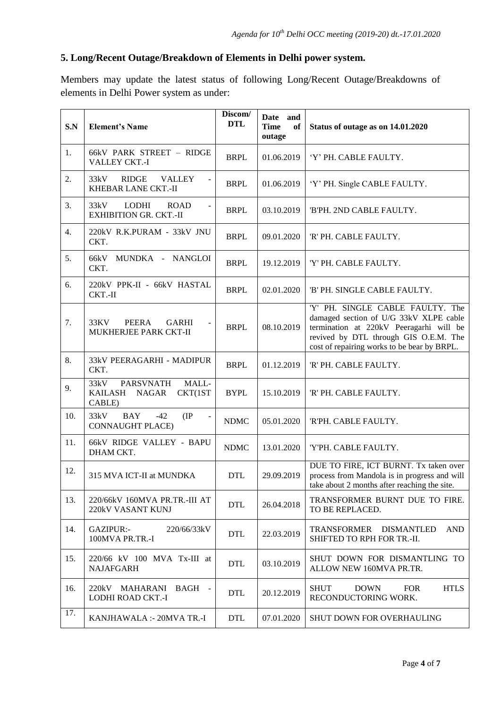# **5. Long/Recent Outage/Breakdown of Elements in Delhi power system.**

Members may update the latest status of following Long/Recent Outage/Breakdowns of elements in Delhi Power system as under:

| S.N | <b>Element's Name</b>                                                          | Discom/<br><b>DTL</b> | Date and<br><b>Time</b><br>of<br>outage | Status of outage as on 14.01.2020                                                                                                                                                                             |
|-----|--------------------------------------------------------------------------------|-----------------------|-----------------------------------------|---------------------------------------------------------------------------------------------------------------------------------------------------------------------------------------------------------------|
| 1.  | 66kV PARK STREET - RIDGE<br>VALLEY CKT.-I                                      | <b>BRPL</b>           | 01.06.2019                              | 'Y' PH. CABLE FAULTY.                                                                                                                                                                                         |
| 2.  | <b>RIDGE</b><br><b>VALLEY</b><br>33kV<br>$\blacksquare$<br>KHEBAR LANE CKT.-II | <b>BRPL</b>           | 01.06.2019                              | 'Y' PH. Single CABLE FAULTY.                                                                                                                                                                                  |
| 3.  | 33kV<br>LODHI<br><b>ROAD</b><br><b>EXHIBITION GR. CKT.-II</b>                  | <b>BRPL</b>           | 03.10.2019                              | 'B'PH. 2ND CABLE FAULTY.                                                                                                                                                                                      |
| 4.  | 220kV R.K.PURAM - 33kV JNU<br>CKT.                                             | <b>BRPL</b>           | 09.01.2020                              | 'R' PH. CABLE FAULTY.                                                                                                                                                                                         |
| 5.  | 66kV<br>MUNDKA - NANGLOI<br>CKT.                                               | <b>BRPL</b>           | 19.12.2019                              | 'Y' PH. CABLE FAULTY.                                                                                                                                                                                         |
| 6.  | 220kV PPK-II - 66kV HASTAL<br>CKT.-II                                          | <b>BRPL</b>           | 02.01.2020                              | 'B' PH. SINGLE CABLE FAULTY.                                                                                                                                                                                  |
| 7.  | 33KV<br>PEERA<br><b>GARHI</b><br>MUKHERJEE PARK CKT-II                         | <b>BRPL</b>           | 08.10.2019                              | 'Y' PH. SINGLE CABLE FAULTY. The<br>damaged section of U/G 33kV XLPE cable<br>termination at 220kV Peeragarhi will be<br>revived by DTL through GIS O.E.M. The<br>cost of repairing works to be bear by BRPL. |
| 8.  | 33kV PEERAGARHI - MADIPUR<br>CKT.                                              | <b>BRPL</b>           | 01.12.2019                              | 'R' PH. CABLE FAULTY.                                                                                                                                                                                         |
| 9.  | <b>PARSVNATH</b><br>MALL-<br>33kV<br>KAILASH<br>NAGAR<br>CKT(1ST<br>CABLE)     | <b>BYPL</b>           | 15.10.2019                              | 'R' PH. CABLE FAULTY.                                                                                                                                                                                         |
| 10. | 33kV<br><b>BAY</b><br>$-42$<br>(IP)<br><b>CONNAUGHT PLACE)</b>                 | <b>NDMC</b>           | 05.01.2020                              | 'R'PH. CABLE FAULTY.                                                                                                                                                                                          |
| 11. | 66kV RIDGE VALLEY - BAPU<br>DHAM CKT.                                          | <b>NDMC</b>           | 13.01.2020                              | 'Y'PH. CABLE FAULTY.                                                                                                                                                                                          |
| 12. | 315 MVA ICT-II at MUNDKA                                                       | <b>DTL</b>            | 29.09.2019                              | DUE TO FIRE, ICT BURNT. Tx taken over<br>process from Mandola is in progress and will<br>take about 2 months after reaching the site.                                                                         |
| 13. | 220/66kV 160MVA PR.TR.-III AT<br>220kV VASANT KUNJ                             | <b>DTL</b>            | 26.04.2018                              | TRANSFORMER BURNT DUE TO FIRE.<br>TO BE REPLACED.                                                                                                                                                             |
| 14. | GAZIPUR:-<br>220/66/33kV<br>100MVA PR.TR.-I                                    | <b>DTL</b>            | 22.03.2019                              | TRANSFORMER DISMANTLED<br><b>AND</b><br>SHIFTED TO RPH FOR TR.-II.                                                                                                                                            |
| 15. | 220/66 kV 100 MVA Tx-III at<br><b>NAJAFGARH</b>                                | <b>DTL</b>            | 03.10.2019                              | SHUT DOWN FOR DISMANTLING TO<br>ALLOW NEW 160MVA PR.TR.                                                                                                                                                       |
| 16. | 220kV MAHARANI<br>BAGH -<br>LODHI ROAD CKT.-I                                  | <b>DTL</b>            | 20.12.2019                              | <b>HTLS</b><br><b>SHUT</b><br><b>DOWN</b><br><b>FOR</b><br>RECONDUCTORING WORK.                                                                                                                               |
| 17. | KANJHAWALA :- 20MVA TR.-I                                                      | <b>DTL</b>            | 07.01.2020                              | <b>SHUT DOWN FOR OVERHAULING</b>                                                                                                                                                                              |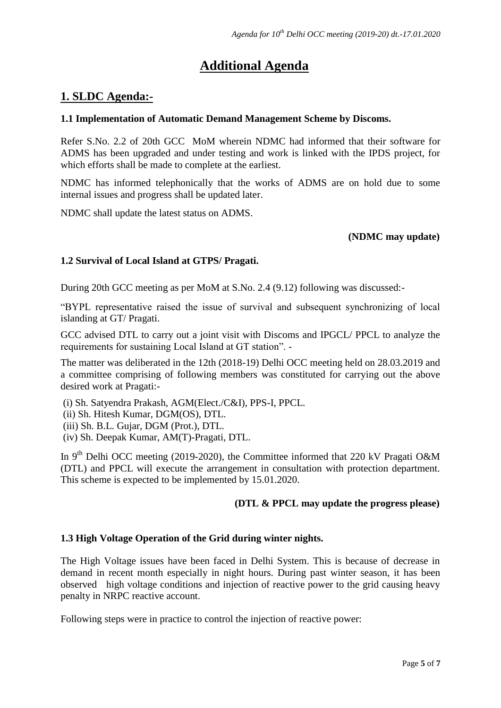# **Additional Agenda**

# **1. SLDC Agenda:-**

## **1.1 Implementation of Automatic Demand Management Scheme by Discoms.**

Refer S.No. 2.2 of 20th GCC MoM wherein NDMC had informed that their software for ADMS has been upgraded and under testing and work is linked with the IPDS project, for which efforts shall be made to complete at the earliest.

NDMC has informed telephonically that the works of ADMS are on hold due to some internal issues and progress shall be updated later.

NDMC shall update the latest status on ADMS.

# **(NDMC may update)**

# **1.2 Survival of Local Island at GTPS/ Pragati.**

During 20th GCC meeting as per MoM at S.No. 2.4 (9.12) following was discussed:-

"BYPL representative raised the issue of survival and subsequent synchronizing of local islanding at GT/ Pragati.

GCC advised DTL to carry out a joint visit with Discoms and IPGCL/ PPCL to analyze the requirements for sustaining Local Island at GT station". -

The matter was deliberated in the 12th (2018-19) Delhi OCC meeting held on 28.03.2019 and a committee comprising of following members was constituted for carrying out the above desired work at Pragati:-

(i) Sh. Satyendra Prakash, AGM(Elect./C&I), PPS-I, PPCL.

(ii) Sh. Hitesh Kumar, DGM(OS), DTL.

(iii) Sh. B.L. Gujar, DGM (Prot.), DTL.

(iv) Sh. Deepak Kumar, AM(T)-Pragati, DTL.

In 9<sup>th</sup> Delhi OCC meeting (2019-2020), the Committee informed that 220 kV Pragati O&M (DTL) and PPCL will execute the arrangement in consultation with protection department. This scheme is expected to be implemented by 15.01.2020.

### **(DTL & PPCL may update the progress please)**

### **1.3 High Voltage Operation of the Grid during winter nights.**

The High Voltage issues have been faced in Delhi System. This is because of decrease in demand in recent month especially in night hours. During past winter season, it has been observed high voltage conditions and injection of reactive power to the grid causing heavy penalty in NRPC reactive account.

Following steps were in practice to control the injection of reactive power: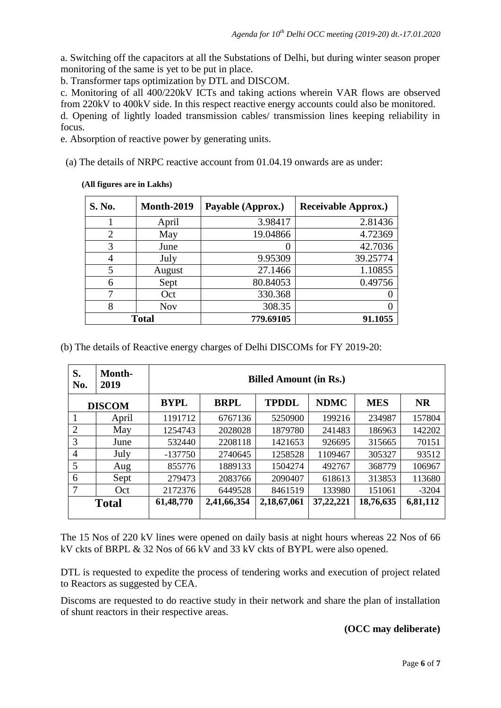a. Switching off the capacitors at all the Substations of Delhi, but during winter season proper monitoring of the same is yet to be put in place.

b. Transformer taps optimization by DTL and DISCOM.

c. Monitoring of all 400/220kV ICTs and taking actions wherein VAR flows are observed from 220kV to 400kV side. In this respect reactive energy accounts could also be monitored. d. Opening of lightly loaded transmission cables/ transmission lines keeping reliability in

e. Absorption of reactive power by generating units.

(a) The details of NRPC reactive account from 01.04.19 onwards are as under:

### **(All figures are in Lakhs)**

focus.

| <b>S. No.</b>  | <b>Month-2019</b> | Payable (Approx.) | <b>Receivable Approx.)</b> |
|----------------|-------------------|-------------------|----------------------------|
|                | April             | 3.98417           | 2.81436                    |
| $\overline{2}$ | May               | 19.04866          | 4.72369                    |
| 3              | June              |                   | 42.7036                    |
| $\overline{4}$ | July              | 9.95309           | 39.25774                   |
| 5              | August            | 27.1466           | 1.10855                    |
| 6              | Sept              | 80.84053          | 0.49756                    |
| 7              | Oct               | 330.368           |                            |
| 8              | <b>Nov</b>        | 308.35            |                            |
| <b>Total</b>   |                   | 779.69105         | 91.1055                    |

(b) The details of Reactive energy charges of Delhi DISCOMs for FY 2019-20:

| S.<br>No.      | Month-<br>2019 | <b>Billed Amount (in Rs.)</b> |             |              |             |            |           |
|----------------|----------------|-------------------------------|-------------|--------------|-------------|------------|-----------|
| <b>DISCOM</b>  |                | <b>BYPL</b>                   | <b>BRPL</b> | <b>TPDDL</b> | <b>NDMC</b> | <b>MES</b> | <b>NR</b> |
|                | April          | 1191712                       | 6767136     | 5250900      | 199216      | 234987     | 157804    |
| 2              | May            | 1254743                       | 2028028     | 1879780      | 241483      | 186963     | 142202    |
| 3              | June           | 532440                        | 2208118     | 1421653      | 926695      | 315665     | 70151     |
| $\overline{4}$ | July           | $-137750$                     | 2740645     | 1258528      | 1109467     | 305327     | 93512     |
| 5              | Aug            | 855776                        | 1889133     | 1504274      | 492767      | 368779     | 106967    |
| 6              | Sept           | 279473                        | 2083766     | 2090407      | 618613      | 313853     | 113680    |
| 7              | Oct            | 2172376                       | 6449528     | 8461519      | 133980      | 151061     | $-3204$   |
|                | <b>Total</b>   | 61,48,770                     | 2,41,66,354 | 2,18,67,061  | 37,22,221   | 18,76,635  | 6,81,112  |

The 15 Nos of 220 kV lines were opened on daily basis at night hours whereas 22 Nos of 66 kV ckts of BRPL & 32 Nos of 66 kV and 33 kV ckts of BYPL were also opened.

DTL is requested to expedite the process of tendering works and execution of project related to Reactors as suggested by CEA.

Discoms are requested to do reactive study in their network and share the plan of installation of shunt reactors in their respective areas.

### **(OCC may deliberate)**